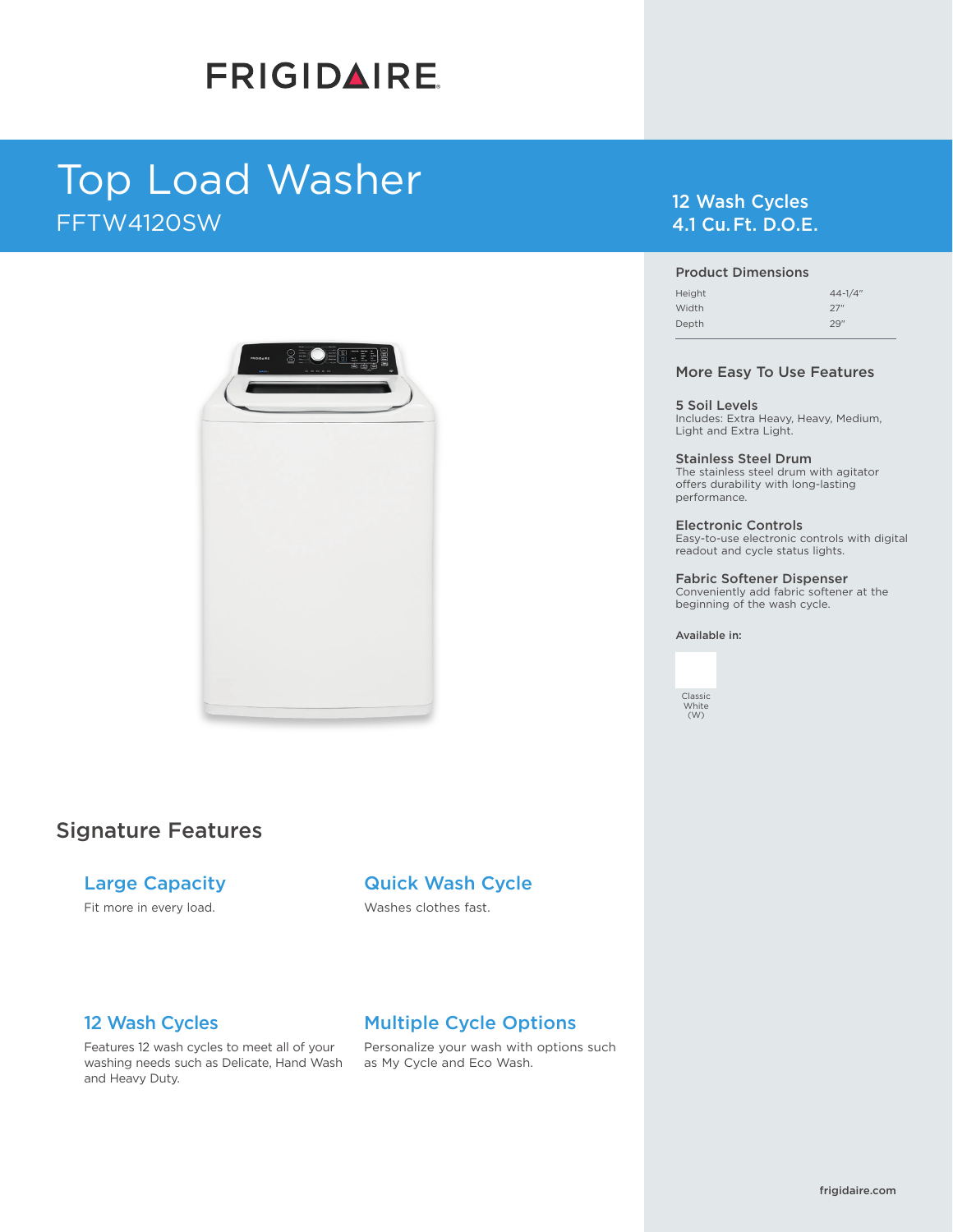# **FRIGIDAIRE**

# Top Load Washer FFTW4120SW



# Signature Features

### Large Capacity

Fit more in every load.

# Quick Wash Cycle

Washes clothes fast.

# 12 Wash Cycles

Features 12 wash cycles to meet all of your washing needs such as Delicate, Hand Wash and Heavy Duty.

# Multiple Cycle Options

Personalize your wash with options such as My Cycle and Eco Wash.

# 12 Wash Cycles 4.1 Cu. Ft. D.O.E.

#### Product Dimensions

| Height | $44 - 1/4$ " |
|--------|--------------|
| Width  | 27"          |
| Depth  | 29"          |

#### More Easy To Use Features

5 Soil Levels Includes: Extra Heavy, Heavy, Medium, Light and Extra Light.

Stainless Steel Drum The stainless steel drum with agitator offers durability with long-lasting performance.

Electronic Controls Easy-to-use electronic controls with digital readout and cycle status lights.

Fabric Softener Dispenser Conveniently add fabric softener at the beginning of the wash cycle.

#### Available in:

Classic White (W)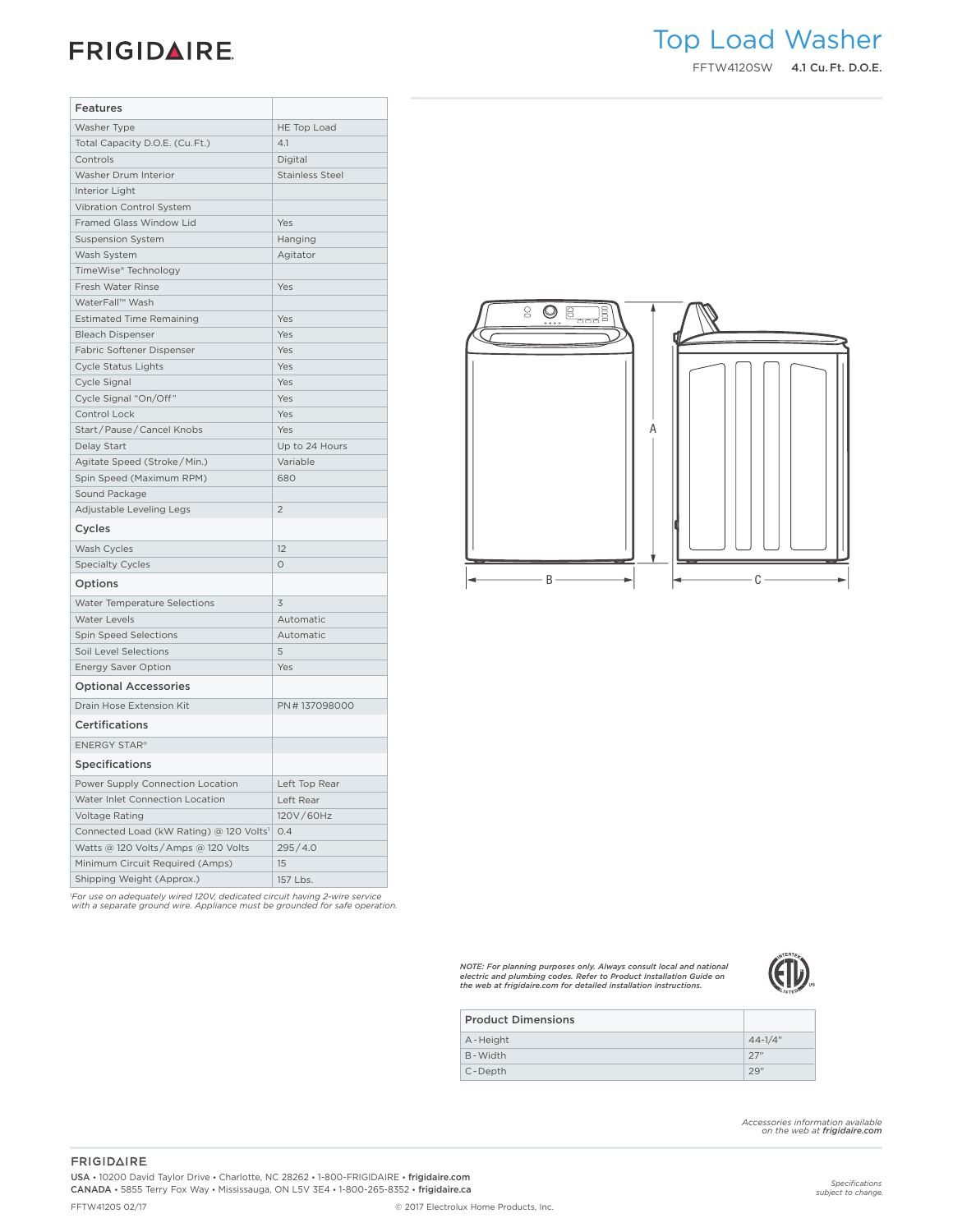# **Top Load Laundry - Washers**

| <b>Features</b>                         |                        |                                                            |
|-----------------------------------------|------------------------|------------------------------------------------------------|
| Washer Type                             | HE Top Load            |                                                            |
| Total Capacity D.O.E. (Cu. Ft.)         | 4.1                    |                                                            |
| Controls                                | Digital                |                                                            |
| Washer Drum Interior                    | <b>Stainless Steel</b> |                                                            |
| Interior Light                          |                        |                                                            |
| Vibration Control System                |                        |                                                            |
| Framed Glass Window Lid                 | Yes                    |                                                            |
| <b>Suspension System</b>                | Hanging                |                                                            |
| Wash System                             | Agitator               |                                                            |
| TimeWise® Technology                    |                        |                                                            |
| Fresh Water Rinse                       | Yes                    |                                                            |
| WaterFall™ Wash                         |                        |                                                            |
| <b>Estimated Time Remaining</b>         | Yes                    | $\mathbf{S}$<br>$Q_{\alpha}$ $\boxed{q_{\alpha}q_{\beta}}$ |
| <b>Bleach Dispenser</b>                 | Yes                    |                                                            |
| Fabric Softener Dispenser               | Yes                    |                                                            |
| Cycle Status Lights                     | Yes                    |                                                            |
| Cycle Signal                            | Yes                    |                                                            |
| Cycle Signal "On/Off"                   | Yes                    |                                                            |
| Control Lock                            | Yes                    |                                                            |
| Start/Pause/Cancel Knobs                | Yes                    |                                                            |
| Delay Start                             | Up to 24 Hours         |                                                            |
| Agitate Speed (Stroke/Min.)             | Variable               |                                                            |
| Spin Speed (Maximum RPM)                | 680                    |                                                            |
| Sound Package                           |                        |                                                            |
| Adjustable Leveling Legs                | $\overline{2}$         |                                                            |
| Cycles                                  |                        |                                                            |
| Wash Cycles                             | 12                     |                                                            |
| <b>Specialty Cycles</b>                 | $\circ$                |                                                            |
| Options                                 |                        | - B -                                                      |
| Water Temperature Selections            | $\overline{3}$         |                                                            |
| Water Levels                            | Automatic              |                                                            |
| Spin Speed Selections                   | Automatic              |                                                            |
| Soil Level Selections                   | 5                      |                                                            |
| Energy Saver Option                     | Yes                    |                                                            |
| <b>Optional Accessories</b>             |                        |                                                            |
| Drain Hose Extension Kit                | PN#137098000           |                                                            |
| Certifications                          |                        |                                                            |
| <b>ENERGY STAR®</b>                     |                        |                                                            |
| <b>Specifications</b>                   |                        |                                                            |
| Power Supply Connection Location        | Left Top Rear          |                                                            |
| Water Inlet Connection Location         | Left Rear              |                                                            |
| Voltage Rating                          | 120V/60Hz              |                                                            |
| Connected Load (kW Rating) @ 120 Volts1 | 0.4                    |                                                            |
| Watts @ 120 Volts/Amps @ 120 Volts      | 295/4.0                |                                                            |
| Minimum Circuit Required (Amps)         | 15                     |                                                            |
| Shipping Weight (Approx.)               | 157 Lbs.               |                                                            |

 $\begin{picture}(20,10) \put(0,0){\line(1,0){10}} \put(15,0){\line(1,0){10}} \put(15,0){\line(1,0){10}} \put(15,0){\line(1,0){10}} \put(15,0){\line(1,0){10}} \put(15,0){\line(1,0){10}} \put(15,0){\line(1,0){10}} \put(15,0){\line(1,0){10}} \put(15,0){\line(1,0){10}} \put(15,0){\line(1,0){10}} \put(15,0){\line(1,0){10}} \put(15,0){\line(1$ A  $B \longrightarrow$   $\leftarrow$   $\leftarrow$   $\leftarrow$   $\leftarrow$ 

*1 For use on adequately wired 120V, dedicated circuit having 2-wire service with a separate ground wire. Appliance must be grounded for safe operation.*

*NOTE: For planning purposes only. Always consult local and national electric and plumbing codes. Refer to Product Installation Guide on the web at frigidaire.com for detailed installation instructions.*



| <b>Product Dimensions</b> |              |
|---------------------------|--------------|
| A-Height                  | $44 - 1/4$ " |
| B-Width                   | 27"          |
| C-Depth                   | 29"          |

*Accessories information available on the web at frigidaire.com*